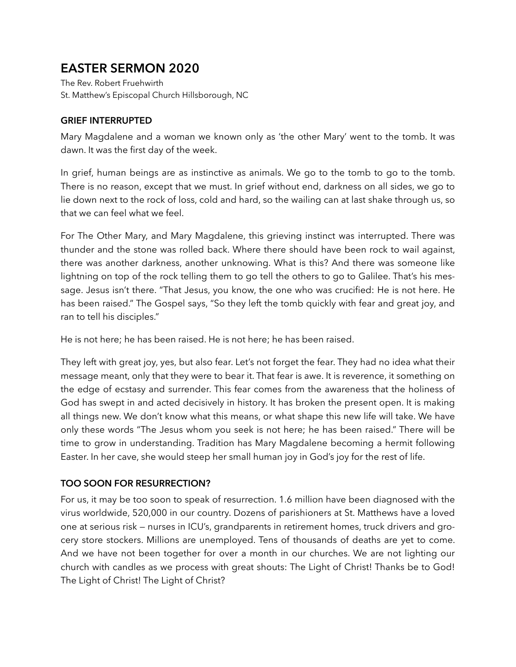# **EASTER SERMON 2020**

The Rev. Robert Fruehwirth St. Matthew's Episcopal Church Hillsborough, NC

### **GRIEF INTERRUPTED**

Mary Magdalene and a woman we known only as 'the other Mary' went to the tomb. It was dawn. It was the first day of the week.

In grief, human beings are as instinctive as animals. We go to the tomb to go to the tomb. There is no reason, except that we must. In grief without end, darkness on all sides, we go to lie down next to the rock of loss, cold and hard, so the wailing can at last shake through us, so that we can feel what we feel.

For The Other Mary, and Mary Magdalene, this grieving instinct was interrupted. There was thunder and the stone was rolled back. Where there should have been rock to wail against, there was another darkness, another unknowing. What is this? And there was someone like lightning on top of the rock telling them to go tell the others to go to Galilee. That's his message. Jesus isn't there. "That Jesus, you know, the one who was crucified: He is not here. He has been raised." The Gospel says, "So they left the tomb quickly with fear and great joy, and ran to tell his disciples."

He is not here; he has been raised. He is not here; he has been raised.

They left with great joy, yes, but also fear. Let's not forget the fear. They had no idea what their message meant, only that they were to bear it. That fear is awe. It is reverence, it something on the edge of ecstasy and surrender. This fear comes from the awareness that the holiness of God has swept in and acted decisively in history. It has broken the present open. It is making all things new. We don't know what this means, or what shape this new life will take. We have only these words "The Jesus whom you seek is not here; he has been raised." There will be time to grow in understanding. Tradition has Mary Magdalene becoming a hermit following Easter. In her cave, she would steep her small human joy in God's joy for the rest of life.

## **TOO SOON FOR RESURRECTION?**

For us, it may be too soon to speak of resurrection. 1.6 million have been diagnosed with the virus worldwide, 520,000 in our country. Dozens of parishioners at St. Matthews have a loved one at serious risk — nurses in ICU's, grandparents in retirement homes, truck drivers and grocery store stockers. Millions are unemployed. Tens of thousands of deaths are yet to come. And we have not been together for over a month in our churches. We are not lighting our church with candles as we process with great shouts: The Light of Christ! Thanks be to God! The Light of Christ! The Light of Christ?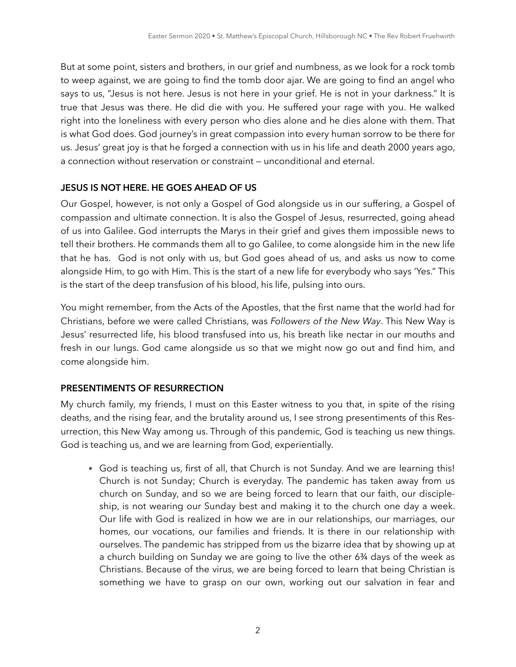But at some point, sisters and brothers, in our grief and numbness, as we look for a rock tomb to weep against, we are going to find the tomb door ajar. We are going to find an angel who says to us, "Jesus is not here. Jesus is not here in your grief. He is not in your darkness." It is true that Jesus was there. He did die with you. He suffered your rage with you. He walked right into the loneliness with every person who dies alone and he dies alone with them. That is what God does. God journey's in great compassion into every human sorrow to be there for us. Jesus' great joy is that he forged a connection with us in his life and death 2000 years ago, a connection without reservation or constraint — unconditional and eternal.

#### **JESUS IS NOT HERE. HE GOES AHEAD OF US**

Our Gospel, however, is not only a Gospel of God alongside us in our suffering, a Gospel of compassion and ultimate connection. It is also the Gospel of Jesus, resurrected, going ahead of us into Galilee. God interrupts the Marys in their grief and gives them impossible news to tell their brothers. He commands them all to go Galilee, to come alongside him in the new life that he has. God is not only with us, but God goes ahead of us, and asks us now to come alongside Him, to go with Him. This is the start of a new life for everybody who says 'Yes." This is the start of the deep transfusion of his blood, his life, pulsing into ours.

You might remember, from the Acts of the Apostles, that the first name that the world had for Christians, before we were called Christians, was *Followers of the New Way*. This New Way is Jesus' resurrected life, his blood transfused into us, his breath like nectar in our mouths and fresh in our lungs. God came alongside us so that we might now go out and find him, and come alongside him.

#### **PRESENTIMENTS OF RESURRECTION**

My church family, my friends, I must on this Easter witness to you that, in spite of the rising deaths, and the rising fear, and the brutality around us, I see strong presentiments of this Resurrection, this New Way among us. Through of this pandemic, God is teaching us new things. God is teaching us, and we are learning from God, experientially.

• God is teaching us, first of all, that Church is not Sunday. And we are learning this! Church is not Sunday; Church is everyday. The pandemic has taken away from us church on Sunday, and so we are being forced to learn that our faith, our discipleship, is not wearing our Sunday best and making it to the church one day a week. Our life with God is realized in how we are in our relationships, our marriages, our homes, our vocations, our families and friends. It is there in our relationship with ourselves. The pandemic has stripped from us the bizarre idea that by showing up at a church building on Sunday we are going to live the other 6¾ days of the week as Christians. Because of the virus, we are being forced to learn that being Christian is something we have to grasp on our own, working out our salvation in fear and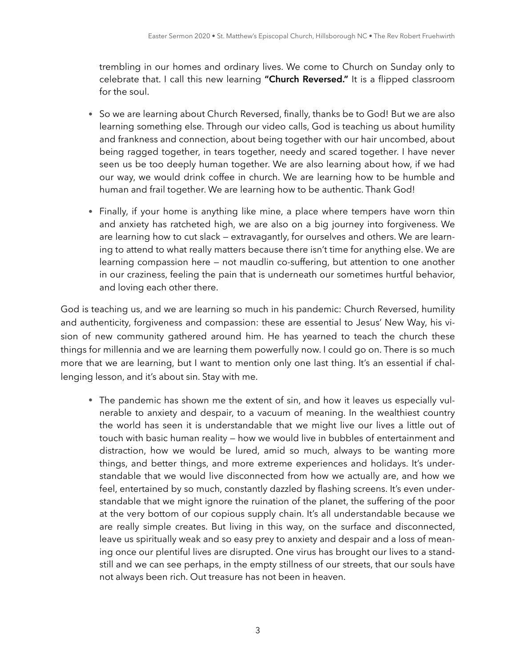trembling in our homes and ordinary lives. We come to Church on Sunday only to celebrate that. I call this new learning **"Church Reversed."** It is a flipped classroom for the soul.

- So we are learning about Church Reversed, finally, thanks be to God! But we are also learning something else. Through our video calls, God is teaching us about humility and frankness and connection, about being together with our hair uncombed, about being ragged together, in tears together, needy and scared together. I have never seen us be too deeply human together. We are also learning about how, if we had our way, we would drink coffee in church. We are learning how to be humble and human and frail together. We are learning how to be authentic. Thank God!
- Finally, if your home is anything like mine, a place where tempers have worn thin and anxiety has ratcheted high, we are also on a big journey into forgiveness. We are learning how to cut slack — extravagantly, for ourselves and others. We are learning to attend to what really matters because there isn't time for anything else. We are learning compassion here — not maudlin co-suffering, but attention to one another in our craziness, feeling the pain that is underneath our sometimes hurtful behavior, and loving each other there.

God is teaching us, and we are learning so much in his pandemic: Church Reversed, humility and authenticity, forgiveness and compassion: these are essential to Jesus' New Way, his vision of new community gathered around him. He has yearned to teach the church these things for millennia and we are learning them powerfully now. I could go on. There is so much more that we are learning, but I want to mention only one last thing. It's an essential if challenging lesson, and it's about sin. Stay with me.

• The pandemic has shown me the extent of sin, and how it leaves us especially vulnerable to anxiety and despair, to a vacuum of meaning. In the wealthiest country the world has seen it is understandable that we might live our lives a little out of touch with basic human reality — how we would live in bubbles of entertainment and distraction, how we would be lured, amid so much, always to be wanting more things, and better things, and more extreme experiences and holidays. It's understandable that we would live disconnected from how we actually are, and how we feel, entertained by so much, constantly dazzled by flashing screens. It's even understandable that we might ignore the ruination of the planet, the suffering of the poor at the very bottom of our copious supply chain. It's all understandable because we are really simple creates. But living in this way, on the surface and disconnected, leave us spiritually weak and so easy prey to anxiety and despair and a loss of meaning once our plentiful lives are disrupted. One virus has brought our lives to a standstill and we can see perhaps, in the empty stillness of our streets, that our souls have not always been rich. Out treasure has not been in heaven.